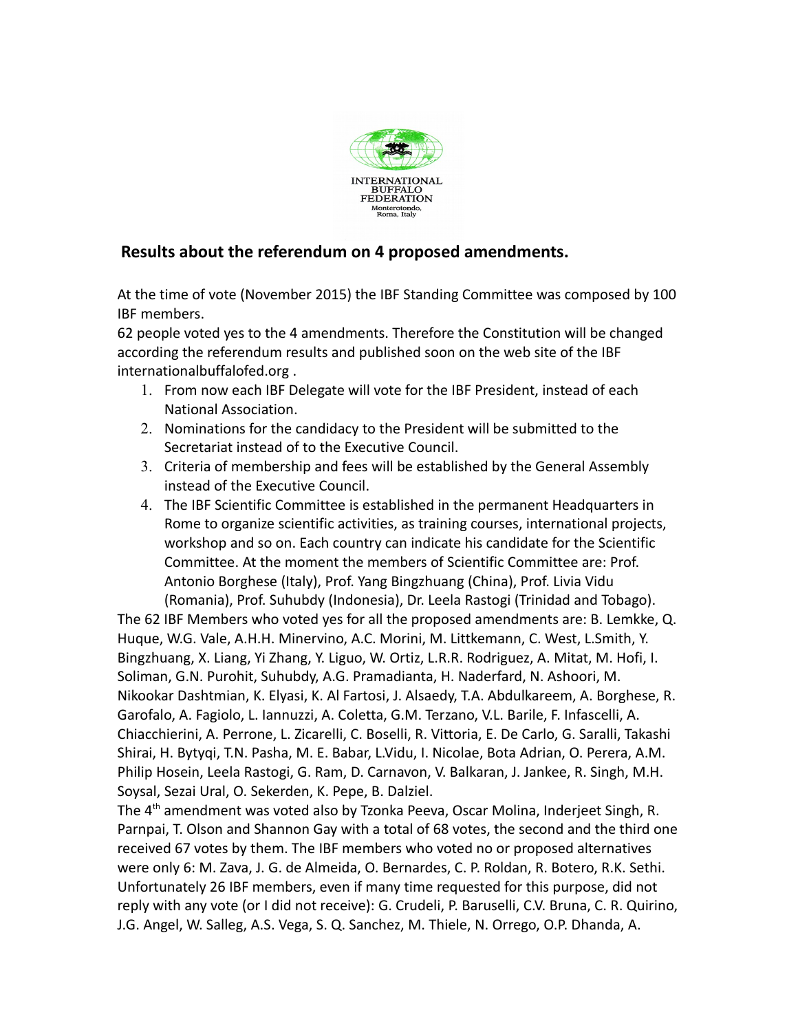

## **Results about the referendum on 4 proposed amendments.**

At the time of vote (November 2015) the IBF Standing Committee was composed by 100 IBF members.

62 people voted yes to the 4 amendments. Therefore the Constitution will be changed according the referendum results and published soon on the web site of the IBF internationalbuffalofed.org .

- 1. From now each IBF Delegate will vote for the IBF President, instead of each National Association.
- 2. Nominations for the candidacy to the President will be submitted to the Secretariat instead of to the Executive Council.
- 3. Criteria of membership and fees will be established by the General Assembly instead of the Executive Council.
- 4. The IBF Scientific Committee is established in the permanent Headquarters in Rome to organize scientific activities, as training courses, international projects, workshop and so on. Each country can indicate his candidate for the Scientific Committee. At the moment the members of Scientific Committee are: Prof. Antonio Borghese (Italy), Prof. Yang Bingzhuang (China), Prof. Livia Vidu (Romania), Prof. Suhubdy (Indonesia), Dr. Leela Rastogi (Trinidad and Tobago).

The 62 IBF Members who voted yes for all the proposed amendments are: B. Lemkke, Q. Huque, W.G. Vale, A.H.H. Minervino, A.C. Morini, M. Littkemann, C. West, L.Smith, Y. Bingzhuang, X. Liang, Yi Zhang, Y. Liguo, W. Ortiz, L.R.R. Rodriguez, A. Mitat, M. Hofi, I. Soliman, G.N. Purohit, Suhubdy, A.G. Pramadianta, H. Naderfard, N. Ashoori, M. Nikookar Dashtmian, K. Elyasi, K. Al Fartosi, J. Alsaedy, T.A. Abdulkareem, A. Borghese, R. Garofalo, A. Fagiolo, L. Iannuzzi, A. Coletta, G.M. Terzano, V.L. Barile, F. Infascelli, A. Chiacchierini, A. Perrone, L. Zicarelli, C. Boselli, R. Vittoria, E. De Carlo, G. Saralli, Takashi Shirai, H. Bytyqi, T.N. Pasha, M. E. Babar, L.Vidu, I. Nicolae, Bota Adrian, O. Perera, A.M. Philip Hosein, Leela Rastogi, G. Ram, D. Carnavon, V. Balkaran, J. Jankee, R. Singh, M.H. Soysal, Sezai Ural, O. Sekerden, K. Pepe, B. Dalziel.

The  $4<sup>th</sup>$  amendment was voted also by Tzonka Peeva, Oscar Molina, Inderjeet Singh, R. Parnpai, T. Olson and Shannon Gay with a total of 68 votes, the second and the third one received 67 votes by them. The IBF members who voted no or proposed alternatives were only 6: M. Zava, J. G. de Almeida, O. Bernardes, C. P. Roldan, R. Botero, R.K. Sethi. Unfortunately 26 IBF members, even if many time requested for this purpose, did not reply with any vote (or I did not receive): G. Crudeli, P. Baruselli, C.V. Bruna, C. R. Quirino, J.G. Angel, W. Salleg, A.S. Vega, S. Q. Sanchez, M. Thiele, N. Orrego, O.P. Dhanda, A.